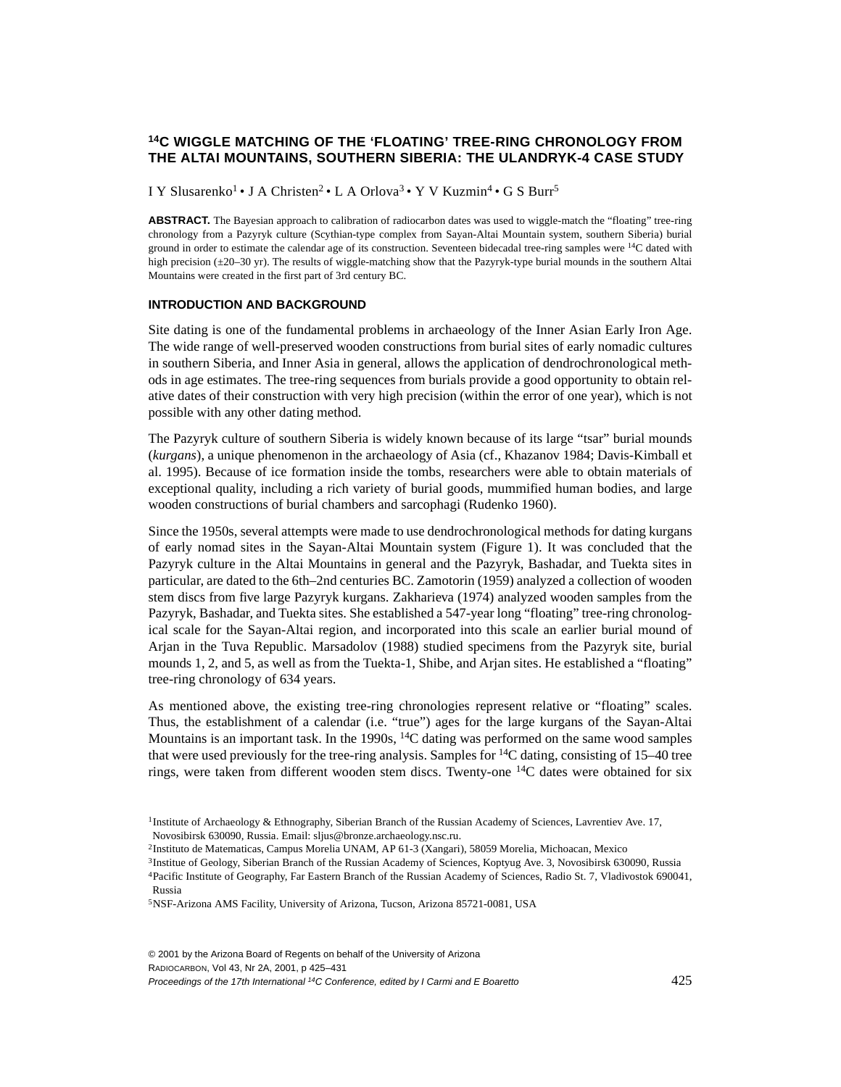# **14C WIGGLE MATCHING OF THE 'FLOATING' TREE-RING CHRONOLOGY FROM THE ALTAI MOUNTAINS, SOUTHERN SIBERIA: THE ULANDRYK-4 CASE STUDY**

I Y Slusarenko<sup>1</sup> • J A Christen<sup>2</sup> • L A Orlova<sup>3</sup> • Y V Kuzmin<sup>4</sup> • G S Burr<sup>5</sup>

ABSTRACT. The Bayesian approach to calibration of radiocarbon dates was used to wiggle-match the "floating" tree-ring chronology from a Pazyryk culture (Scythian-type complex from Sayan-Altai Mountain system, southern Siberia) burial ground in order to estimate the calendar age of its construction. Seventeen bidecadal tree-ring samples were <sup>14</sup>C dated with high precision (±20–30 yr). The results of wiggle-matching show that the Pazyryk-type burial mounds in the southern Altai Mountains were created in the first part of 3rd century BC.

#### **INTRODUCTION AND BACKGROUND**

Site dating is one of the fundamental problems in archaeology of the Inner Asian Early Iron Age. The wide range of well-preserved wooden constructions from burial sites of early nomadic cultures in southern Siberia, and Inner Asia in general, allows the application of dendrochronological methods in age estimates. The tree-ring sequences from burials provide a good opportunity to obtain relative dates of their construction with very high precision (within the error of one year), which is not possible with any other dating method.

The Pazyryk culture of southern Siberia is widely known because of its large "tsar" burial mounds (*kurgans*), a unique phenomenon in the archaeology of Asia (cf., Khazanov 1984; Davis-Kimball et al. 1995). Because of ice formation inside the tombs, researchers were able to obtain materials of exceptional quality, including a rich variety of burial goods, mummified human bodies, and large wooden constructions of burial chambers and sarcophagi (Rudenko 1960).

Since the 1950s, several attempts were made to use dendrochronological methods for dating kurgans of early nomad sites in the Sayan-Altai Mountain system (Figure 1). It was concluded that the Pazyryk culture in the Altai Mountains in general and the Pazyryk, Bashadar, and Tuekta sites in particular, are dated to the 6th–2nd centuries BC. Zamotorin (1959) analyzed a collection of wooden stem discs from five large Pazyryk kurgans. Zakharieva (1974) analyzed wooden samples from the Pazyryk, Bashadar, and Tuekta sites. She established a 547-year long "floating" tree-ring chronological scale for the Sayan-Altai region, and incorporated into this scale an earlier burial mound of Arjan in the Tuva Republic. Marsadolov (1988) studied specimens from the Pazyryk site, burial mounds 1, 2, and 5, as well as from the Tuekta-1, Shibe, and Arjan sites. He established a "floating" tree-ring chronology of 634 years.

As mentioned above, the existing tree-ring chronologies represent relative or "floating" scales. Thus, the establishment of a calendar (i.e. "true") ages for the large kurgans of the Sayan-Altai Mountains is an important task. In the 1990s,  $^{14}$ C dating was performed on the same wood samples that were used previously for the tree-ring analysis. Samples for  ${}^{14}C$  dating, consisting of 15–40 tree rings, were taken from different wooden stem discs. Twenty-one 14C dates were obtained for six

© 2001 by the Arizona Board of Regents on behalf of the University of Arizona RADIOCARBON, Vol 43, Nr 2A, 2001, p 425–431

Proceedings of the 17th International 14C Conference, edited by I Carmi and E Boaretto 425

<sup>&</sup>lt;sup>1</sup>Institute of Archaeology & Ethnography, Siberian Branch of the Russian Academy of Sciences, Lavrentiev Ave. 17, Novosibirsk 630090, Russia. Email: sljus@bronze.archaeology.nsc.ru.

<sup>2</sup>Instituto de Matematicas, Campus Morelia UNAM, AP 61-3 (Xangari), 58059 Morelia, Michoacan, Mexico

<sup>&</sup>lt;sup>3</sup>Institue of Geology, Siberian Branch of the Russian Academy of Sciences, Koptyug Ave. 3, Novosibirsk 630090, Russia

<sup>4</sup>Pacific Institute of Geography, Far Eastern Branch of the Russian Academy of Sciences, Radio St. 7, Vladivostok 690041, Russia

<sup>5</sup>NSF-Arizona AMS Facility, University of Arizona, Tucson, Arizona 85721-0081, USA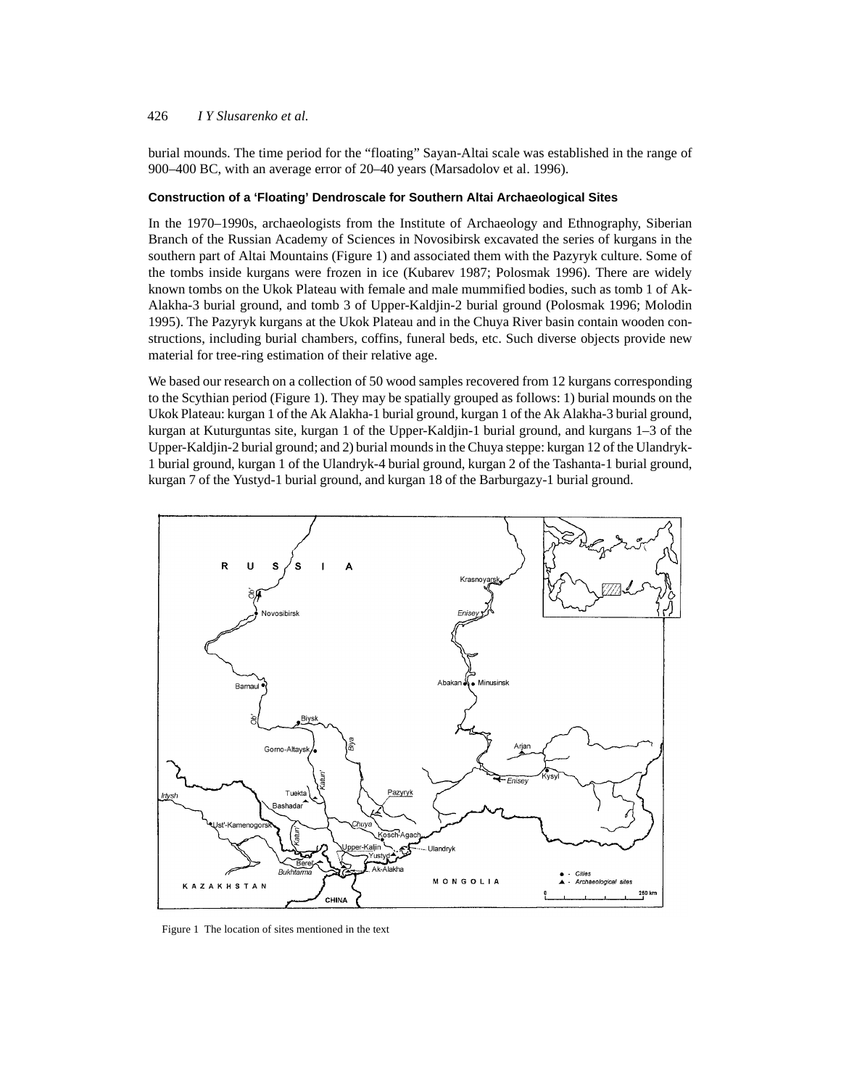## 426 *I Y Slusarenko et al.*

burial mounds. The time period for the "floating" Sayan-Altai scale was established in the range of 900–400 BC, with an average error of 20–40 years (Marsadolov et al. 1996).

# **Construction of a 'Floating' Dendroscale for Southern Altai Archaeological Sites**

In the 1970–1990s, archaeologists from the Institute of Archaeology and Ethnography, Siberian Branch of the Russian Academy of Sciences in Novosibirsk excavated the series of kurgans in the southern part of Altai Mountains (Figure 1) and associated them with the Pazyryk culture. Some of the tombs inside kurgans were frozen in ice (Kubarev 1987; Polosmak 1996). There are widely known tombs on the Ukok Plateau with female and male mummified bodies, such as tomb 1 of Ak-Alakha-3 burial ground, and tomb 3 of Upper-Kaldjin-2 burial ground (Polosmak 1996; Molodin 1995). The Pazyryk kurgans at the Ukok Plateau and in the Chuya River basin contain wooden constructions, including burial chambers, coffins, funeral beds, etc. Such diverse objects provide new material for tree-ring estimation of their relative age.

We based our research on a collection of 50 wood samples recovered from 12 kurgans corresponding to the Scythian period (Figure 1). They may be spatially grouped as follows: 1) burial mounds on the Ukok Plateau: kurgan 1 of the Ak Alakha-1 burial ground, kurgan 1 of the Ak Alakha-3 burial ground, kurgan at Kuturguntas site, kurgan 1 of the Upper-Kaldjin-1 burial ground, and kurgans 1–3 of the Upper-Kaldjin-2 burial ground; and 2) burial mounds in the Chuya steppe: kurgan 12 of the Ulandryk-1 burial ground, kurgan 1 of the Ulandryk-4 burial ground, kurgan 2 of the Tashanta-1 burial ground, kurgan 7 of the Yustyd-1 burial ground, and kurgan 18 of the Barburgazy-1 burial ground.



Figure 1 The location of sites mentioned in the text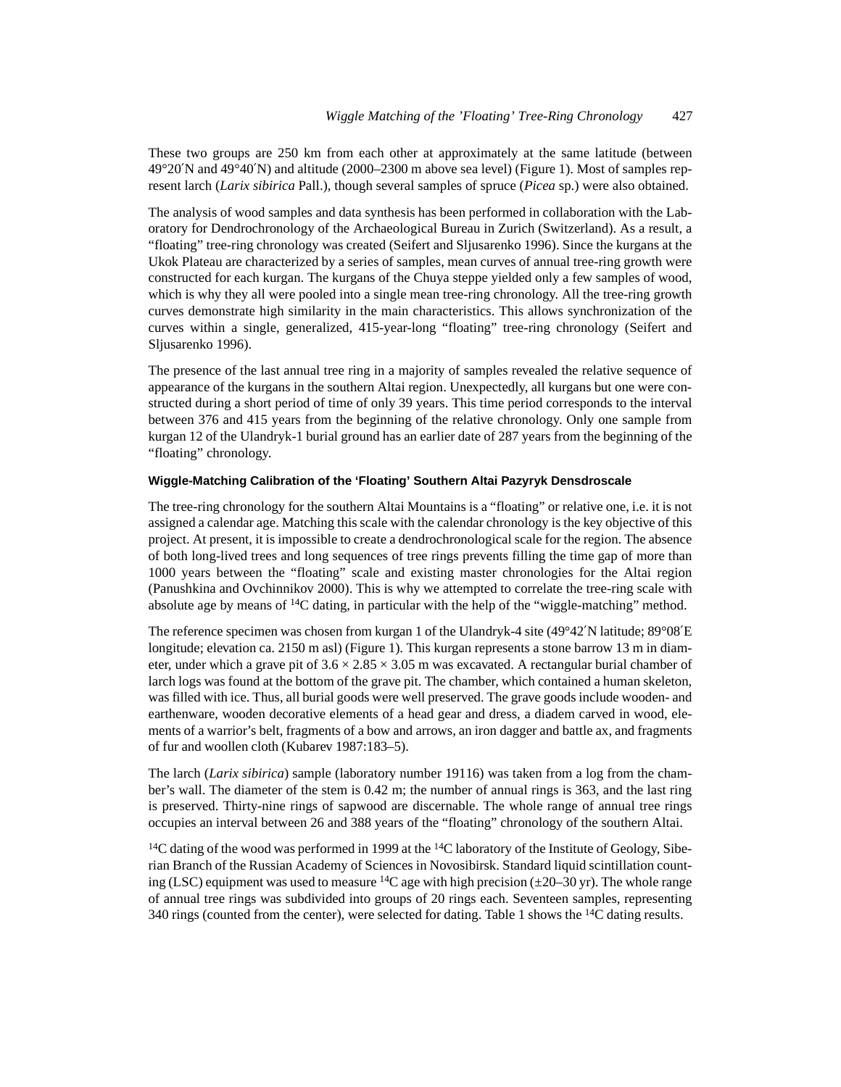These two groups are 250 km from each other at approximately at the same latitude (between 49°20′N and 49°40′N) and altitude (2000–2300 m above sea level) (Figure 1). Most of samples represent larch (*Larix sibirica* Pall.), though several samples of spruce (*Picea* sp.) were also obtained.

The analysis of wood samples and data synthesis has been performed in collaboration with the Laboratory for Dendrochronology of the Archaeological Bureau in Zurich (Switzerland). As a result, a "floating" tree-ring chronology was created (Seifert and Sljusarenko 1996). Since the kurgans at the Ukok Plateau are characterized by a series of samples, mean curves of annual tree-ring growth were constructed for each kurgan. The kurgans of the Chuya steppe yielded only a few samples of wood, which is why they all were pooled into a single mean tree-ring chronology. All the tree-ring growth curves demonstrate high similarity in the main characteristics. This allows synchronization of the curves within a single, generalized, 415-year-long "floating" tree-ring chronology (Seifert and Sljusarenko 1996).

The presence of the last annual tree ring in a majority of samples revealed the relative sequence of appearance of the kurgans in the southern Altai region. Unexpectedly, all kurgans but one were constructed during a short period of time of only 39 years. This time period corresponds to the interval between 376 and 415 years from the beginning of the relative chronology. Only one sample from kurgan 12 of the Ulandryk-1 burial ground has an earlier date of 287 years from the beginning of the "floating" chronology.

## **Wiggle-Matching Calibration of the 'Floating' Southern Altai Pazyryk Densdroscale**

The tree-ring chronology for the southern Altai Mountains is a "floating" or relative one, i.e. it is not assigned a calendar age. Matching this scale with the calendar chronology is the key objective of this project. At present, it is impossible to create a dendrochronological scale for the region. The absence of both long-lived trees and long sequences of tree rings prevents filling the time gap of more than 1000 years between the "floating" scale and existing master chronologies for the Altai region (Panushkina and Ovchinnikov 2000). This is why we attempted to correlate the tree-ring scale with absolute age by means of  $^{14}C$  dating, in particular with the help of the "wiggle-matching" method.

The reference specimen was chosen from kurgan 1 of the Ulandryk-4 site (49°42'N latitude; 89°08'E longitude; elevation ca. 2150 m asl) (Figure 1). This kurgan represents a stone barrow 13 m in diameter, under which a grave pit of  $3.6 \times 2.85 \times 3.05$  m was excavated. A rectangular burial chamber of larch logs was found at the bottom of the grave pit. The chamber, which contained a human skeleton, was filled with ice. Thus, all burial goods were well preserved. The grave goods include wooden- and earthenware, wooden decorative elements of a head gear and dress, a diadem carved in wood, elements of a warrior's belt, fragments of a bow and arrows, an iron dagger and battle ax, and fragments of fur and woollen cloth (Kubarev 1987:183–5).

The larch (*Larix sibirica*) sample (laboratory number 19116) was taken from a log from the chamber's wall. The diameter of the stem is 0.42 m; the number of annual rings is 363, and the last ring is preserved. Thirty-nine rings of sapwood are discernable. The whole range of annual tree rings occupies an interval between 26 and 388 years of the "floating" chronology of the southern Altai.

 $14C$  dating of the wood was performed in 1999 at the  $14C$  laboratory of the Institute of Geology, Siberian Branch of the Russian Academy of Sciences in Novosibirsk. Standard liquid scintillation counting (LSC) equipment was used to measure <sup>14</sup>C age with high precision ( $\pm$ 20–30 yr). The whole range of annual tree rings was subdivided into groups of 20 rings each. Seventeen samples, representing 340 rings (counted from the center), were selected for dating. Table 1 shows the  $^{14}$ C dating results.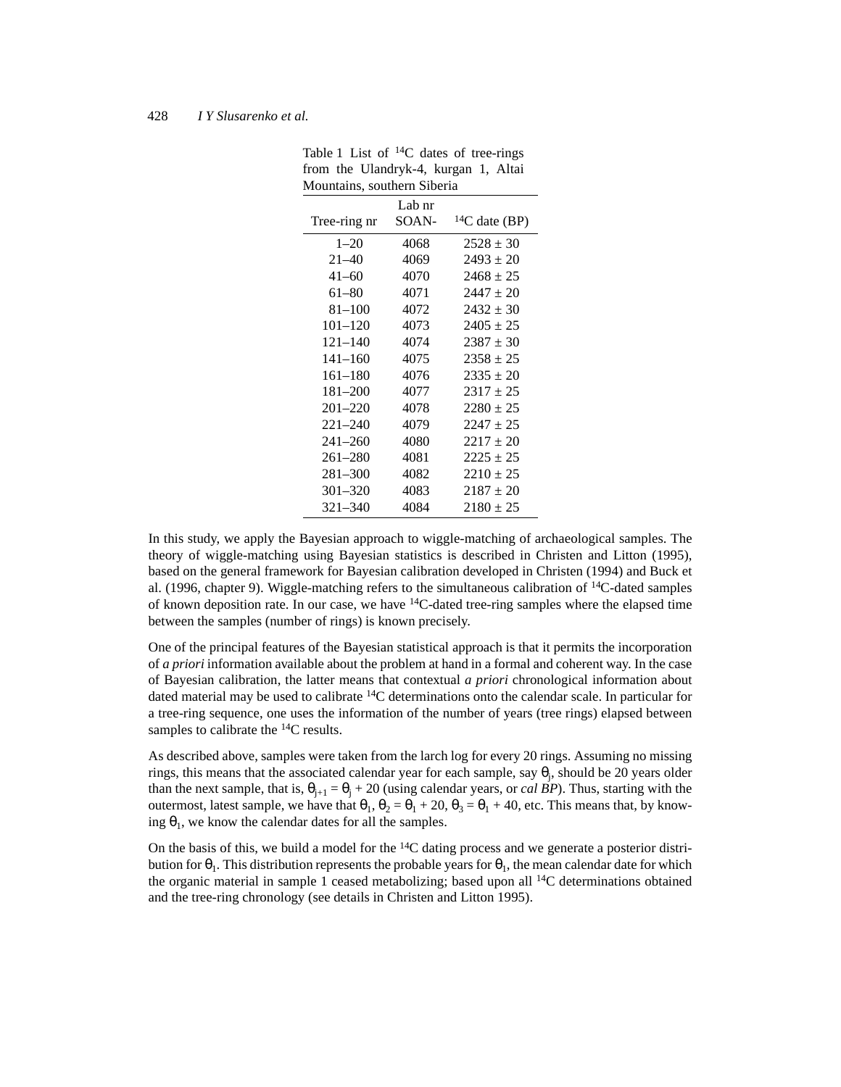#### 428 *I Y Slusarenko et al.*

| Tree-ring nr | Lab nr<br>SOAN- | ${}^{14}C$ date (BP) |
|--------------|-----------------|----------------------|
| $1 - 20$     | 4068            | $2528 \pm 30$        |
| $21 - 40$    | 4069            | $2493 \pm 20$        |
| $41 - 60$    | 4070            | $2468 \pm 25$        |
| 61-80        | 4071            | $2447 \pm 20$        |
| $81 - 100$   | 4072            | $2432 \pm 30$        |
| $101 - 120$  | 4073            | $2405 \pm 25$        |
| $121 - 140$  | 4074            | $2387 \pm 30$        |
| $141 - 160$  | 4075            | $2358 \pm 25$        |
| $161 - 180$  | 4076            | $2335 \pm 20$        |
| $181 - 200$  | 4077            | $2317 \pm 25$        |
| $201 - 220$  | 4078            | $2280 \pm 25$        |
| $221 - 240$  | 4079            | $2247 + 25$          |
| $241 - 260$  | 4080            | $2217 \pm 20$        |
| $261 - 280$  | 4081            | $2225 \pm 25$        |
| $281 - 300$  | 4082            | $2210 \pm 25$        |
| $301 - 320$  | 4083            | $2187 \pm 20$        |
| 321–340      | 4084            | $2180 \pm 25$        |

Table 1 List of  $^{14}C$  dates of tree-rings from the Ulandryk-4, kurgan 1, Altai Mountains, southern Siberia

In this study, we apply the Bayesian approach to wiggle-matching of archaeological samples. The theory of wiggle-matching using Bayesian statistics is described in Christen and Litton (1995), based on the general framework for Bayesian calibration developed in Christen (1994) and Buck et al. (1996, chapter 9). Wiggle-matching refers to the simultaneous calibration of 14C-dated samples of known deposition rate. In our case, we have  $^{14}C$ -dated tree-ring samples where the elapsed time between the samples (number of rings) is known precisely.

One of the principal features of the Bayesian statistical approach is that it permits the incorporation of *a priori* information available about the problem at hand in a formal and coherent way. In the case of Bayesian calibration, the latter means that contextual *a priori* chronological information about dated material may be used to calibrate 14C determinations onto the calendar scale. In particular for a tree-ring sequence, one uses the information of the number of years (tree rings) elapsed between samples to calibrate the <sup>14</sup>C results.

As described above, samples were taken from the larch log for every 20 rings. Assuming no missing rings, this means that the associated calendar year for each sample, say  $\theta_j$ , should be 20 years older than the next sample, that is,  $\theta_{j+1} = \theta_j + 20$  (using calendar years, or *cal BP*). Thus, starting with the outermost, latest sample, we have that  $\theta_1$ ,  $\theta_2 = \theta_1 + 20$ ,  $\theta_3 = \theta_1 + 40$ , etc. This means that, by knowing  $\theta_1$ , we know the calendar dates for all the samples.

On the basis of this, we build a model for the  $^{14}C$  dating process and we generate a posterior distribution for  $\theta_1$ . This distribution represents the probable years for  $\theta_1$ , the mean calendar date for which the organic material in sample 1 ceased metabolizing; based upon all 14C determinations obtained and the tree-ring chronology (see details in Christen and Litton 1995).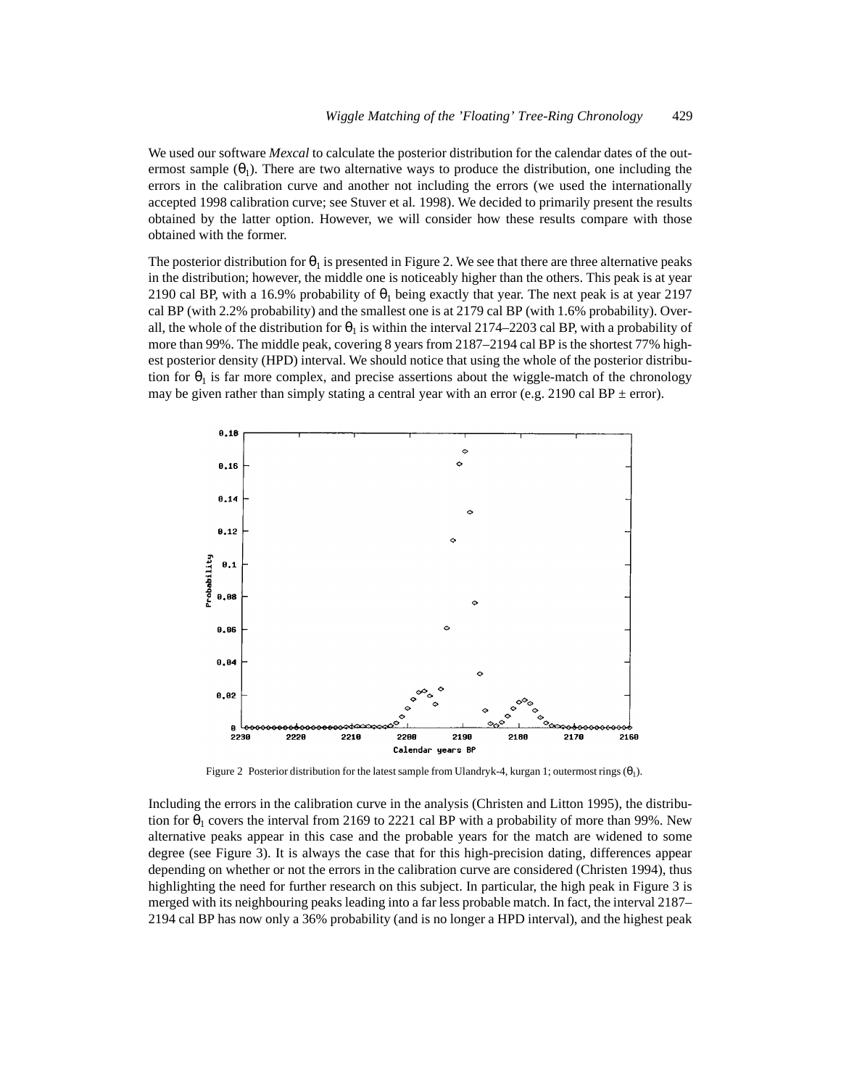We used our software *Mexcal* to calculate the posterior distribution for the calendar dates of the outermost sample  $(\theta_1)$ . There are two alternative ways to produce the distribution, one including the errors in the calibration curve and another not including the errors (we used the internationally accepted 1998 calibration curve; see Stuver et al*.* 1998). We decided to primarily present the results obtained by the latter option. However, we will consider how these results compare with those obtained with the former.

The posterior distribution for  $\theta_1$  is presented in Figure 2. We see that there are three alternative peaks in the distribution; however, the middle one is noticeably higher than the others. This peak is at year 2190 cal BP, with a 16.9% probability of  $\theta_1$  being exactly that year. The next peak is at year 2197 cal BP (with 2.2% probability) and the smallest one is at 2179 cal BP (with 1.6% probability). Overall, the whole of the distribution for  $\theta_1$  is within the interval 2174–2203 cal BP, with a probability of more than 99%. The middle peak, covering 8 years from 2187–2194 cal BP is the shortest 77% highest posterior density (HPD) interval. We should notice that using the whole of the posterior distribution for  $\theta_1$  is far more complex, and precise assertions about the wiggle-match of the chronology may be given rather than simply stating a central year with an error (e.g. 2190 cal BP  $\pm$  error).



Figure 2 Posterior distribution for the latest sample from Ulandryk-4, kurgan 1; outermost rings  $(\theta_1)$ .

Including the errors in the calibration curve in the analysis (Christen and Litton 1995), the distribution for  $\theta_1$  covers the interval from 2169 to 2221 cal BP with a probability of more than 99%. New alternative peaks appear in this case and the probable years for the match are widened to some degree (see Figure 3). It is always the case that for this high-precision dating, differences appear depending on whether or not the errors in the calibration curve are considered (Christen 1994), thus highlighting the need for further research on this subject. In particular, the high peak in Figure 3 is merged with its neighbouring peaks leading into a far less probable match. In fact, the interval 2187– 2194 cal BP has now only a 36% probability (and is no longer a HPD interval), and the highest peak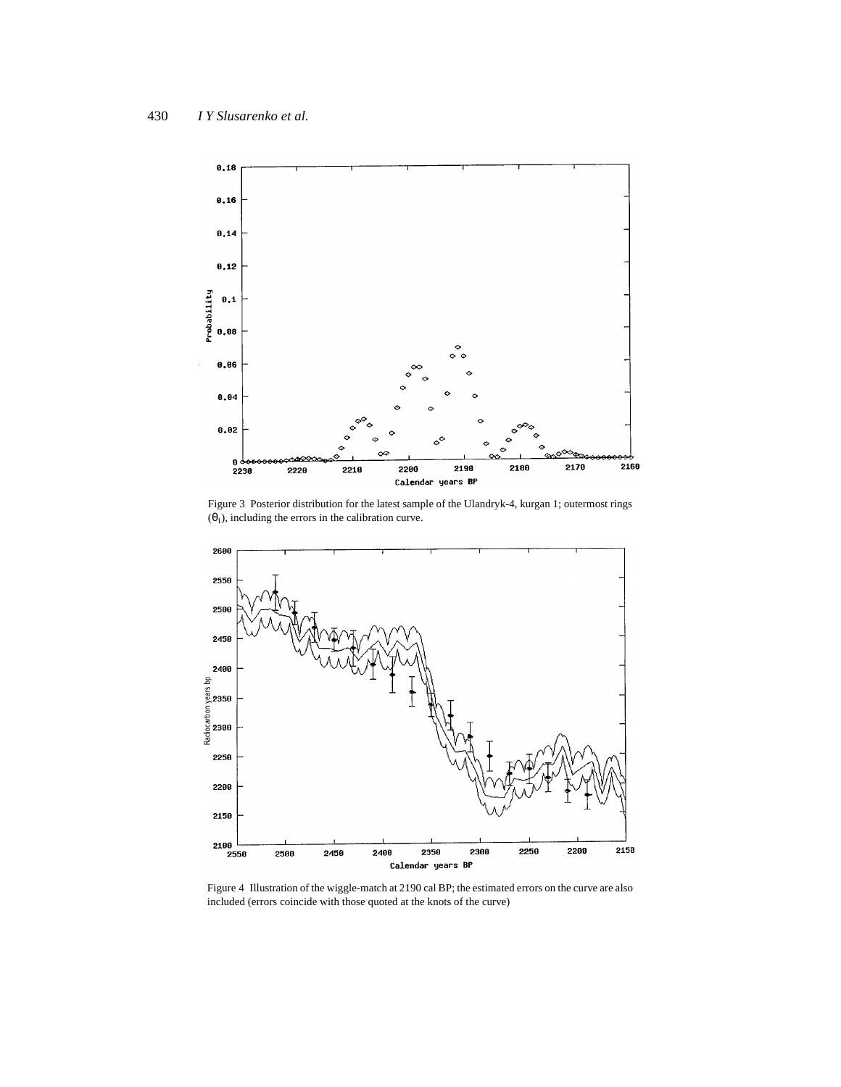

Figure 3 Posterior distribution for the latest sample of the Ulandryk-4, kurgan 1; outermost rings  $(\theta_1)$ , including the errors in the calibration curve.



Figure 4 Illustration of the wiggle-match at 2190 cal BP; the estimated errors on the curve are also included (errors coincide with those quoted at the knots of the curve)